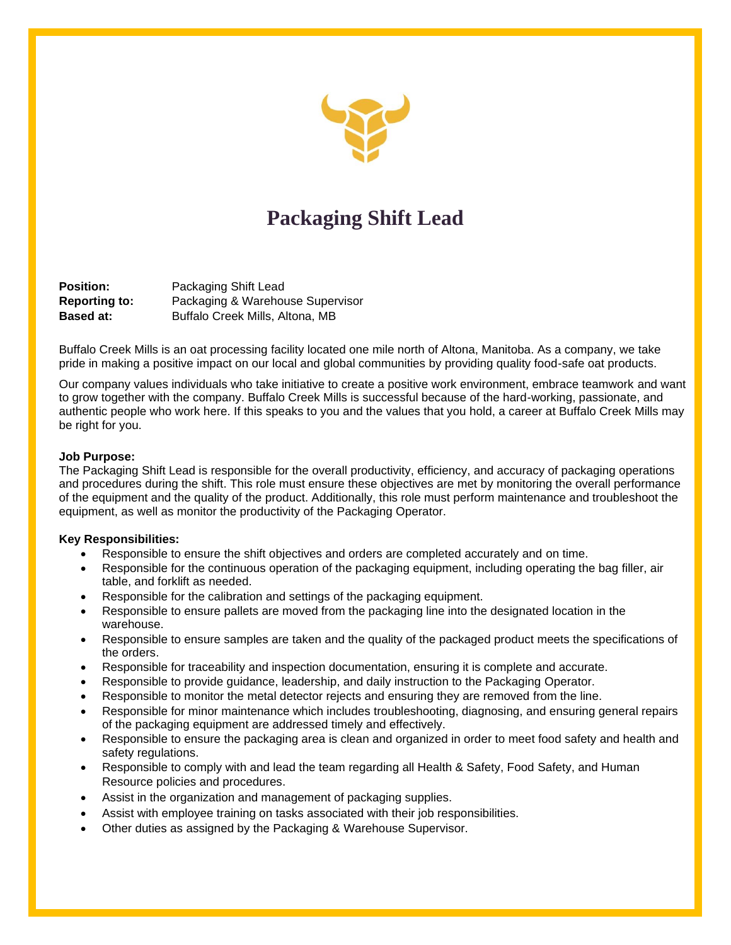

# **Packaging Shift Lead**

**Position:** Packaging Shift Lead **Reporting to:** Packaging & Warehouse Supervisor **Based at:** Buffalo Creek Mills, Altona, MB

Buffalo Creek Mills is an oat processing facility located one mile north of Altona, Manitoba. As a company, we take pride in making a positive impact on our local and global communities by providing quality food-safe oat products.

Our company values individuals who take initiative to create a positive work environment, embrace teamwork and want to grow together with the company. Buffalo Creek Mills is successful because of the hard-working, passionate, and authentic people who work here. If this speaks to you and the values that you hold, a career at Buffalo Creek Mills may be right for you.

## **Job Purpose:**

The Packaging Shift Lead is responsible for the overall productivity, efficiency, and accuracy of packaging operations and procedures during the shift. This role must ensure these objectives are met by monitoring the overall performance of the equipment and the quality of the product. Additionally, this role must perform maintenance and troubleshoot the equipment, as well as monitor the productivity of the Packaging Operator.

## **Key Responsibilities:**

- Responsible to ensure the shift objectives and orders are completed accurately and on time.
- Responsible for the continuous operation of the packaging equipment, including operating the bag filler, air table, and forklift as needed.
- Responsible for the calibration and settings of the packaging equipment.
- Responsible to ensure pallets are moved from the packaging line into the designated location in the warehouse.
- Responsible to ensure samples are taken and the quality of the packaged product meets the specifications of the orders.
- Responsible for traceability and inspection documentation, ensuring it is complete and accurate.
- Responsible to provide guidance, leadership, and daily instruction to the Packaging Operator.
- Responsible to monitor the metal detector rejects and ensuring they are removed from the line.
- Responsible for minor maintenance which includes troubleshooting, diagnosing, and ensuring general repairs of the packaging equipment are addressed timely and effectively.
- Responsible to ensure the packaging area is clean and organized in order to meet food safety and health and safety regulations.
- Responsible to comply with and lead the team regarding all Health & Safety, Food Safety, and Human Resource policies and procedures.
- Assist in the organization and management of packaging supplies.
- Assist with employee training on tasks associated with their job responsibilities.
- Other duties as assigned by the Packaging & Warehouse Supervisor.